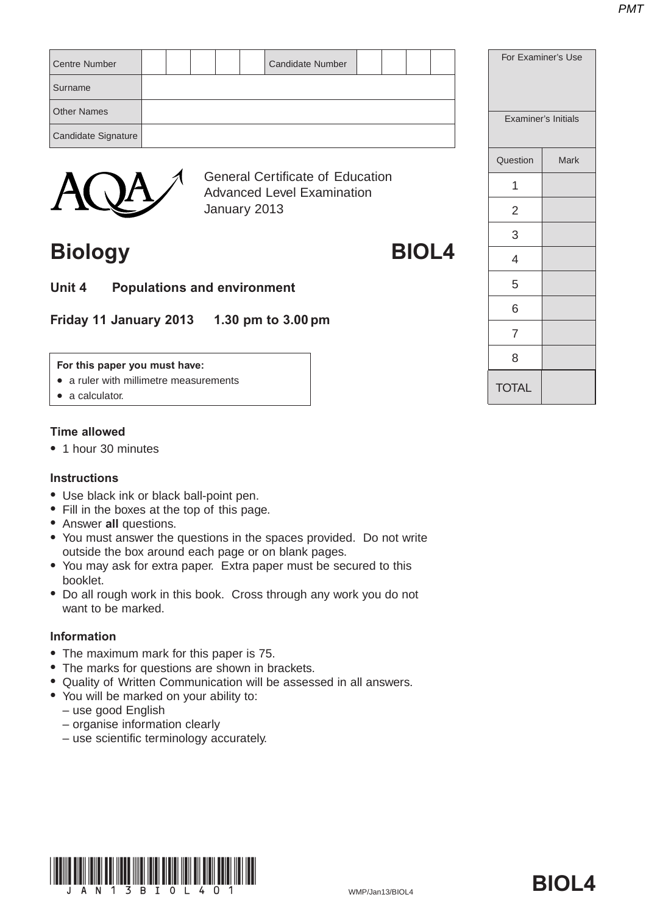| <b>Centre Number</b> |  |  | <b>Candidate Number</b>                 |  |  | For Examiner's Use |                     |
|----------------------|--|--|-----------------------------------------|--|--|--------------------|---------------------|
| Surname              |  |  |                                         |  |  |                    |                     |
| <b>Other Names</b>   |  |  |                                         |  |  |                    | Examiner's Initials |
| Candidate Signature  |  |  |                                         |  |  |                    |                     |
|                      |  |  |                                         |  |  | Question           | Mark                |
|                      |  |  | <b>General Certificate of Education</b> |  |  | $\overline{ }$     |                     |



General Certificate of Education Advanced Level Examination January 2013

## **Biology BIOL4**

- 
- **Unit 4 Populations and environment**

**Friday 11 January 2013 1.30 pm to 3.00 pm**

#### **For this paper you must have:**

- a ruler with millimetre measurements
- $\bullet$  a calculator.

#### **Time allowed**

• 1 hour 30 minutes

#### **Instructions**

- Use black ink or black ball-point pen.
- Fill in the boxes at the top of this page.
- **Answer all questions.**
- You must answer the questions in the spaces provided. Do not write outside the box around each page or on blank pages.
- You may ask for extra paper. Extra paper must be secured to this booklet.
- Do all rough work in this book. Cross through any work you do not want to be marked.

#### **Information**

- The maximum mark for this paper is 75.
- The marks for questions are shown in brackets.
- Quality of Written Communication will be assessed in all answers.
- You will be marked on your ability to:
	- use good English
	- organise information clearly
	- use scientific terminology accurately.



| <b>Examiner's Initials</b> |      |  |
|----------------------------|------|--|
| Question                   | Mark |  |
| 1                          |      |  |
| 2                          |      |  |
| 3                          |      |  |
| 4                          |      |  |
| 5                          |      |  |
| 6                          |      |  |
| $\overline{7}$             |      |  |
| 8                          |      |  |
| <b>TOTAL</b>               |      |  |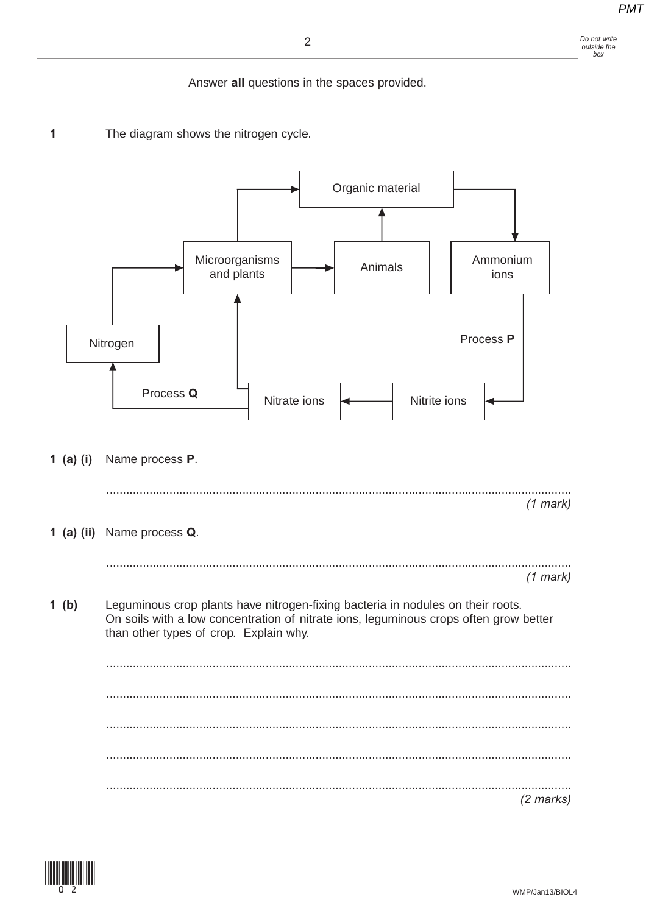### $\overline{2}$



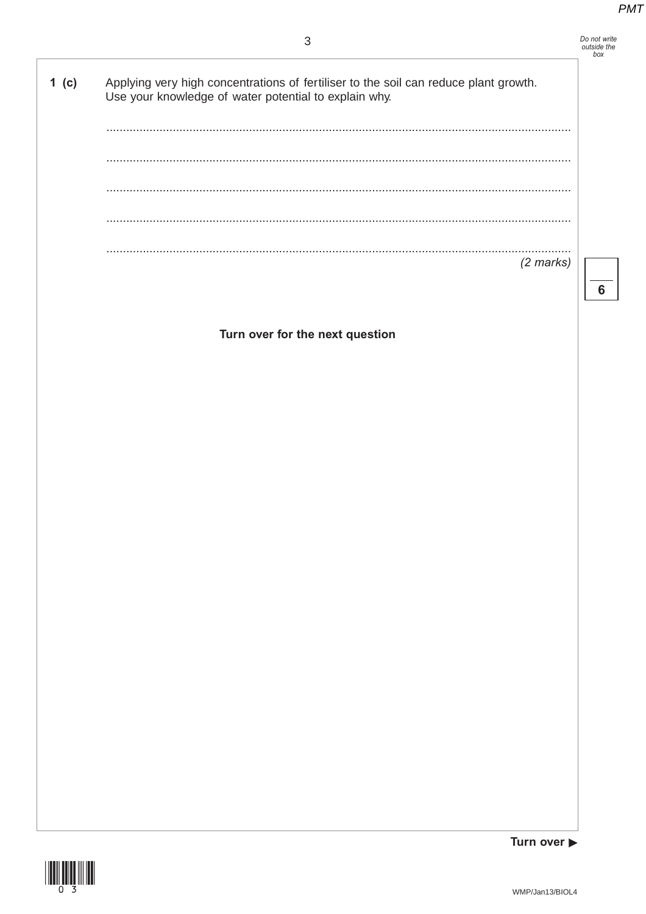

 $6\phantom{1}6$ 

Applying very high concentrations of fertiliser to the soil can reduce plant growth. 1 $(c)$ Use your knowledge of water potential to explain why.  $\sim$ . . . . . . . . . . . . . . . .  $(2 \text{ marks})$ 

Turn over for the next question





Turn over  $\blacktriangleright$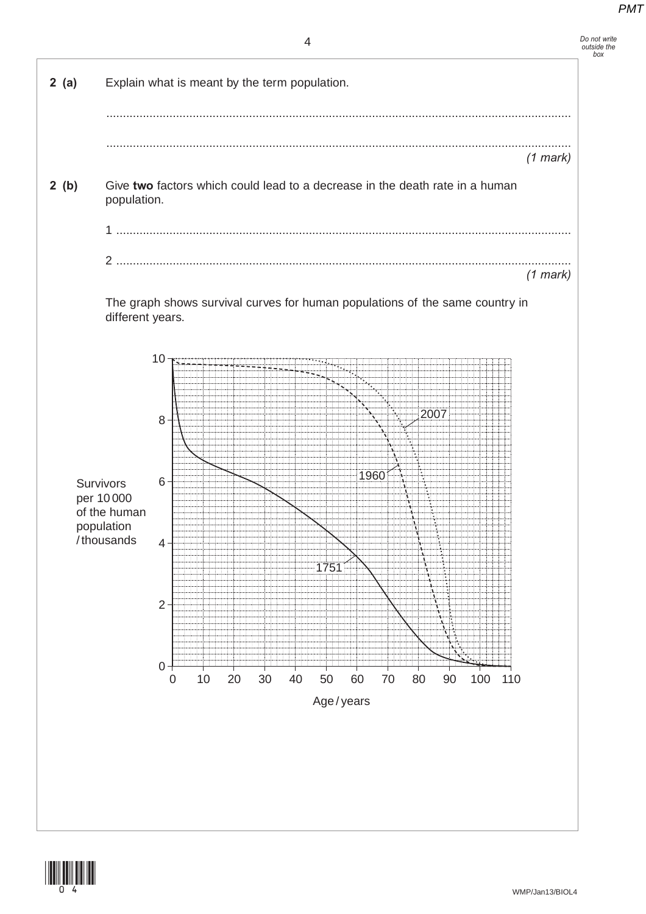4



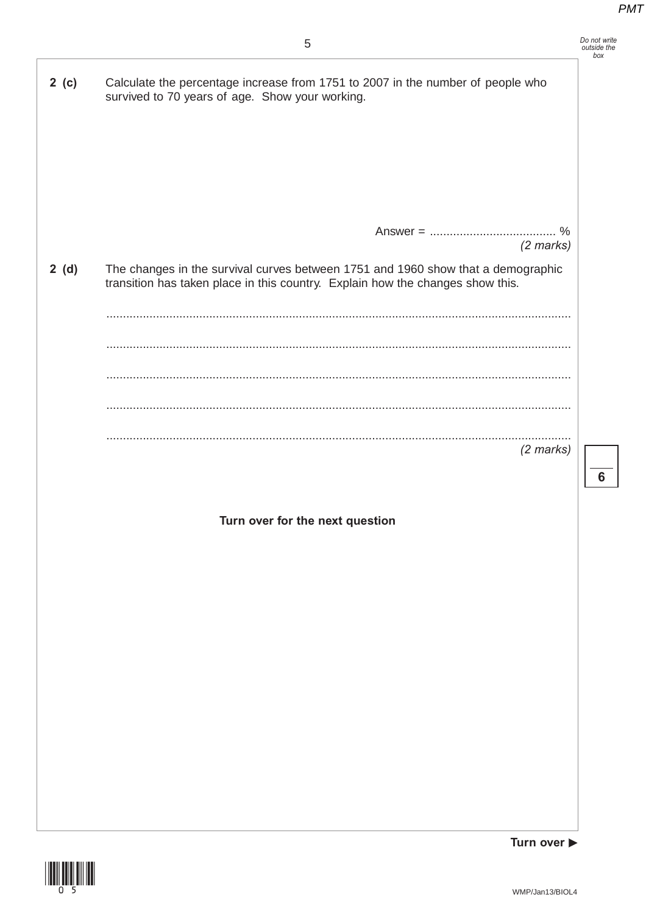| 2 (c) | Calculate the percentage increase from 1751 to 2007 in the number of people who<br>survived to 70 years of age. Show your working.                                 |                |
|-------|--------------------------------------------------------------------------------------------------------------------------------------------------------------------|----------------|
|       |                                                                                                                                                                    |                |
|       |                                                                                                                                                                    |                |
|       | $(2$ marks)                                                                                                                                                        |                |
| 2(d)  | The changes in the survival curves between 1751 and 1960 show that a demographic<br>transition has taken place in this country. Explain how the changes show this. |                |
|       |                                                                                                                                                                    |                |
|       |                                                                                                                                                                    |                |
|       |                                                                                                                                                                    |                |
|       |                                                                                                                                                                    |                |
|       | $(2$ marks)                                                                                                                                                        |                |
|       |                                                                                                                                                                    | $6\phantom{1}$ |
|       |                                                                                                                                                                    |                |
|       | Turn over for the next question                                                                                                                                    |                |
|       |                                                                                                                                                                    |                |
|       |                                                                                                                                                                    |                |
|       |                                                                                                                                                                    |                |
|       |                                                                                                                                                                    |                |
|       |                                                                                                                                                                    |                |
|       |                                                                                                                                                                    |                |
|       |                                                                                                                                                                    |                |
|       |                                                                                                                                                                    |                |
|       |                                                                                                                                                                    |                |
|       |                                                                                                                                                                    |                |
|       |                                                                                                                                                                    |                |
|       |                                                                                                                                                                    |                |

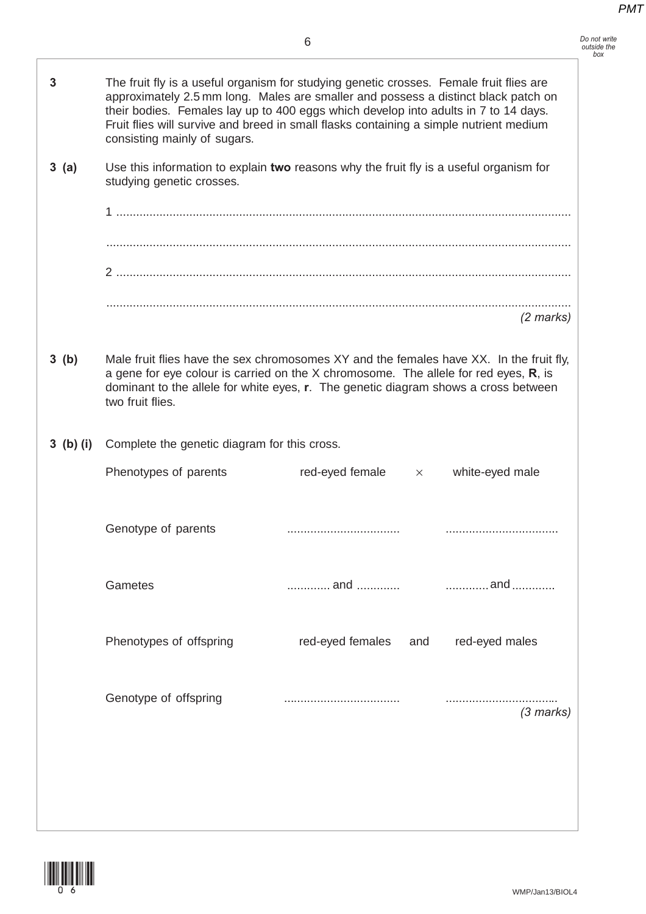| 3           | The fruit fly is a useful organism for studying genetic crosses. Female fruit flies are<br>approximately 2.5 mm long. Males are smaller and possess a distinct black patch on<br>their bodies. Females lay up to 400 eggs which develop into adults in 7 to 14 days.<br>Fruit flies will survive and breed in small flasks containing a simple nutrient medium<br>consisting mainly of sugars. |                          |                 |  |  |
|-------------|------------------------------------------------------------------------------------------------------------------------------------------------------------------------------------------------------------------------------------------------------------------------------------------------------------------------------------------------------------------------------------------------|--------------------------|-----------------|--|--|
| 3(a)        | Use this information to explain two reasons why the fruit fly is a useful organism for<br>studying genetic crosses.                                                                                                                                                                                                                                                                            |                          |                 |  |  |
|             |                                                                                                                                                                                                                                                                                                                                                                                                |                          |                 |  |  |
|             |                                                                                                                                                                                                                                                                                                                                                                                                |                          |                 |  |  |
|             |                                                                                                                                                                                                                                                                                                                                                                                                |                          |                 |  |  |
|             |                                                                                                                                                                                                                                                                                                                                                                                                |                          | $(2$ marks)     |  |  |
| 3(b)        | Male fruit flies have the sex chromosomes XY and the females have XX. In the fruit fly,<br>a gene for eye colour is carried on the $X$ chromosome. The allele for red eyes, $R$ , is<br>dominant to the allele for white eyes, r. The genetic diagram shows a cross between<br>two fruit flies.                                                                                                |                          |                 |  |  |
| $3$ (b) (i) | Complete the genetic diagram for this cross.                                                                                                                                                                                                                                                                                                                                                   |                          |                 |  |  |
|             | Phenotypes of parents                                                                                                                                                                                                                                                                                                                                                                          | red-eyed female $\times$ | white-eyed male |  |  |
|             | Genotype of parents                                                                                                                                                                                                                                                                                                                                                                            |                          |                 |  |  |
|             | Gametes                                                                                                                                                                                                                                                                                                                                                                                        |                          |                 |  |  |
|             | Phenotypes of offspring                                                                                                                                                                                                                                                                                                                                                                        | red-eyed females<br>and  | red-eyed males  |  |  |
|             | Genotype of offspring                                                                                                                                                                                                                                                                                                                                                                          |                          | $(3$ marks)     |  |  |
|             |                                                                                                                                                                                                                                                                                                                                                                                                |                          |                 |  |  |
|             |                                                                                                                                                                                                                                                                                                                                                                                                |                          |                 |  |  |

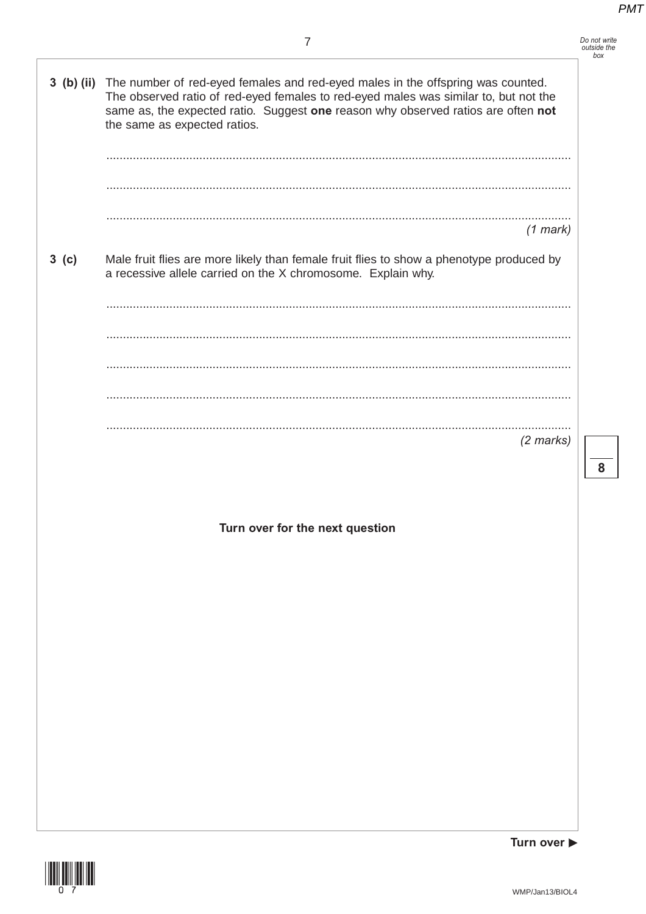|                  | 3 (b) (ii) The number of red-eyed females and red-eyed males in the offspring was counted.<br>The observed ratio of red-eyed females to red-eyed males was similar to, but not the<br>same as, the expected ratio. Suggest one reason why observed ratios are often not<br>the same as expected ratios. |   |
|------------------|---------------------------------------------------------------------------------------------------------------------------------------------------------------------------------------------------------------------------------------------------------------------------------------------------------|---|
|                  |                                                                                                                                                                                                                                                                                                         |   |
|                  |                                                                                                                                                                                                                                                                                                         |   |
|                  | $(1$ mark)                                                                                                                                                                                                                                                                                              |   |
| 3 <sub>(c)</sub> | Male fruit flies are more likely than female fruit flies to show a phenotype produced by<br>a recessive allele carried on the X chromosome. Explain why.                                                                                                                                                |   |
|                  |                                                                                                                                                                                                                                                                                                         |   |
|                  |                                                                                                                                                                                                                                                                                                         |   |
|                  |                                                                                                                                                                                                                                                                                                         |   |
|                  |                                                                                                                                                                                                                                                                                                         |   |
|                  | $(2$ marks)                                                                                                                                                                                                                                                                                             | 8 |
|                  |                                                                                                                                                                                                                                                                                                         |   |
|                  | Turn over for the next question                                                                                                                                                                                                                                                                         |   |
|                  |                                                                                                                                                                                                                                                                                                         |   |
|                  |                                                                                                                                                                                                                                                                                                         |   |
|                  |                                                                                                                                                                                                                                                                                                         |   |
|                  |                                                                                                                                                                                                                                                                                                         |   |
|                  |                                                                                                                                                                                                                                                                                                         |   |
|                  |                                                                                                                                                                                                                                                                                                         |   |
|                  |                                                                                                                                                                                                                                                                                                         |   |
|                  | Turn over $\blacktriangleright$                                                                                                                                                                                                                                                                         |   |

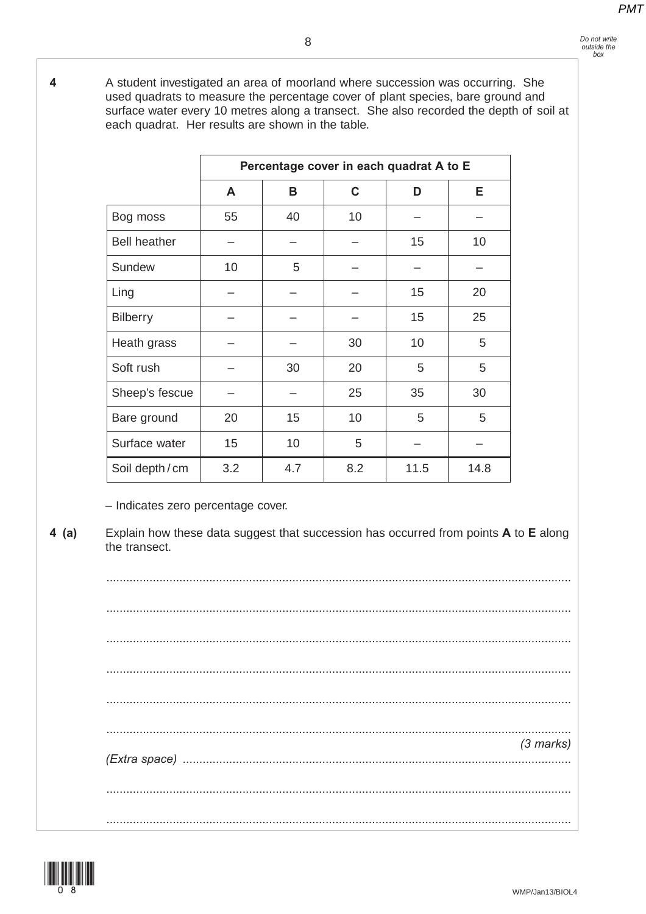#### *Do not write outside the box*

**4** A student investigated an area of moorland where succession was occurring. She used quadrats to measure the percentage cover of plant species, bare ground and surface water every 10 metres along a transect. She also recorded the depth of soil at each quadrat. Her results are shown in the table.

|                     | Percentage cover in each quadrat A to E |     |     |      |      |  |
|---------------------|-----------------------------------------|-----|-----|------|------|--|
|                     | A                                       | B   | C   | D    | Е    |  |
| Bog moss            | 55                                      | 40  | 10  |      |      |  |
| <b>Bell heather</b> |                                         |     |     | 15   | 10   |  |
| Sundew              | 10                                      | 5   |     |      |      |  |
| Ling                |                                         |     |     | 15   | 20   |  |
| <b>Bilberry</b>     |                                         |     |     | 15   | 25   |  |
| Heath grass         |                                         |     | 30  | 10   | 5    |  |
| Soft rush           |                                         | 30  | 20  | 5    | 5    |  |
| Sheep's fescue      |                                         |     | 25  | 35   | 30   |  |
| Bare ground         | 20                                      | 15  | 10  | 5    | 5    |  |
| Surface water       | 15                                      | 10  | 5   |      |      |  |
| Soil depth/cm       | 3.2                                     | 4.7 | 8.2 | 11.5 | 14.8 |  |

– Indicates zero percentage cover.

**4 (a)** Explain how these data suggest that succession has occurred from points **A** to **E** along the transect.

............................................................................................................................................ ............................................................................................................................................ ............................................................................................................................................ ............................................................................................................................................ ............................................................................................................................................ ............................................................................................................................................ *(3 marks) (Extra space)* ..................................................................................................................... ............................................................................................................................................ ............................................................................................................................................

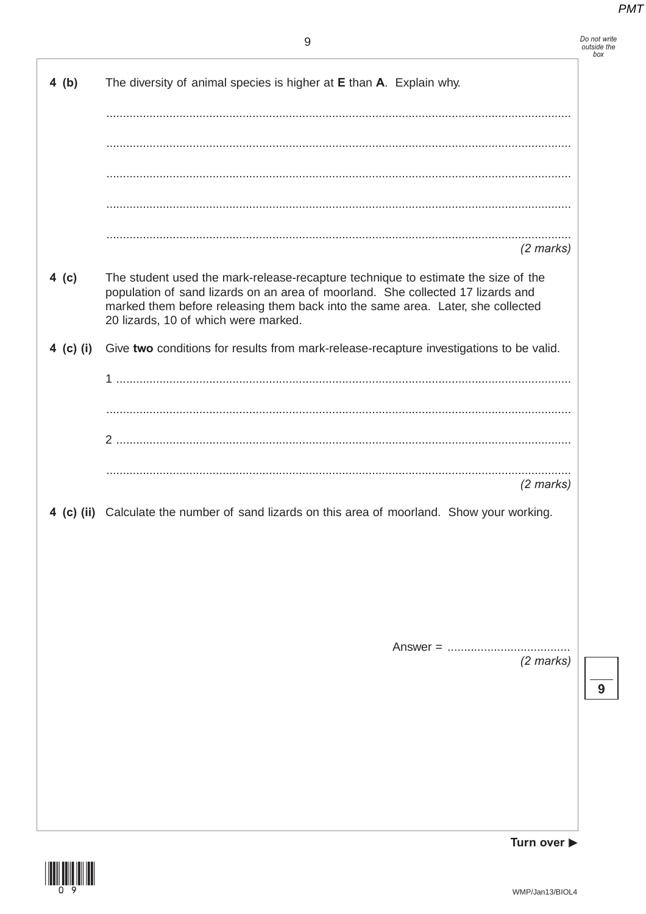|           | 9                                                                                                                                                                                                                                                                                               | Do not write<br>outside the<br>box |
|-----------|-------------------------------------------------------------------------------------------------------------------------------------------------------------------------------------------------------------------------------------------------------------------------------------------------|------------------------------------|
| 4(b)      | The diversity of animal species is higher at E than A. Explain why.                                                                                                                                                                                                                             |                                    |
|           |                                                                                                                                                                                                                                                                                                 |                                    |
|           |                                                                                                                                                                                                                                                                                                 |                                    |
|           |                                                                                                                                                                                                                                                                                                 |                                    |
|           |                                                                                                                                                                                                                                                                                                 |                                    |
|           |                                                                                                                                                                                                                                                                                                 |                                    |
|           | $(2 \text{ marks})$                                                                                                                                                                                                                                                                             |                                    |
| 4 (c)     | The student used the mark-release-recapture technique to estimate the size of the<br>population of sand lizards on an area of moorland. She collected 17 lizards and<br>marked them before releasing them back into the same area. Later, she collected<br>20 lizards, 10 of which were marked. |                                    |
| 4 (c) (i) | Give two conditions for results from mark-release-recapture investigations to be valid.                                                                                                                                                                                                         |                                    |
|           |                                                                                                                                                                                                                                                                                                 |                                    |
|           |                                                                                                                                                                                                                                                                                                 |                                    |
|           |                                                                                                                                                                                                                                                                                                 |                                    |
|           |                                                                                                                                                                                                                                                                                                 |                                    |
|           | $(2$ marks)                                                                                                                                                                                                                                                                                     |                                    |
|           | 4 (c) (ii) Calculate the number of sand lizards on this area of moorland. Show your working.                                                                                                                                                                                                    |                                    |
|           |                                                                                                                                                                                                                                                                                                 |                                    |
|           |                                                                                                                                                                                                                                                                                                 |                                    |
|           |                                                                                                                                                                                                                                                                                                 |                                    |
|           |                                                                                                                                                                                                                                                                                                 |                                    |
|           | (2 marks)                                                                                                                                                                                                                                                                                       |                                    |
|           |                                                                                                                                                                                                                                                                                                 | 9                                  |
|           |                                                                                                                                                                                                                                                                                                 |                                    |
|           |                                                                                                                                                                                                                                                                                                 |                                    |
|           |                                                                                                                                                                                                                                                                                                 |                                    |
|           |                                                                                                                                                                                                                                                                                                 |                                    |
|           |                                                                                                                                                                                                                                                                                                 |                                    |



Turn over ▶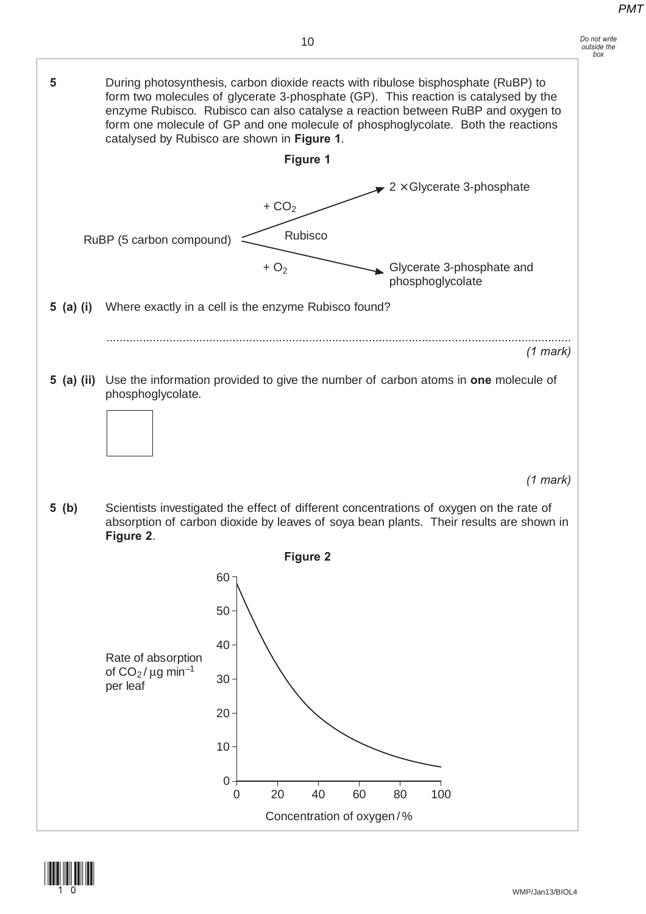

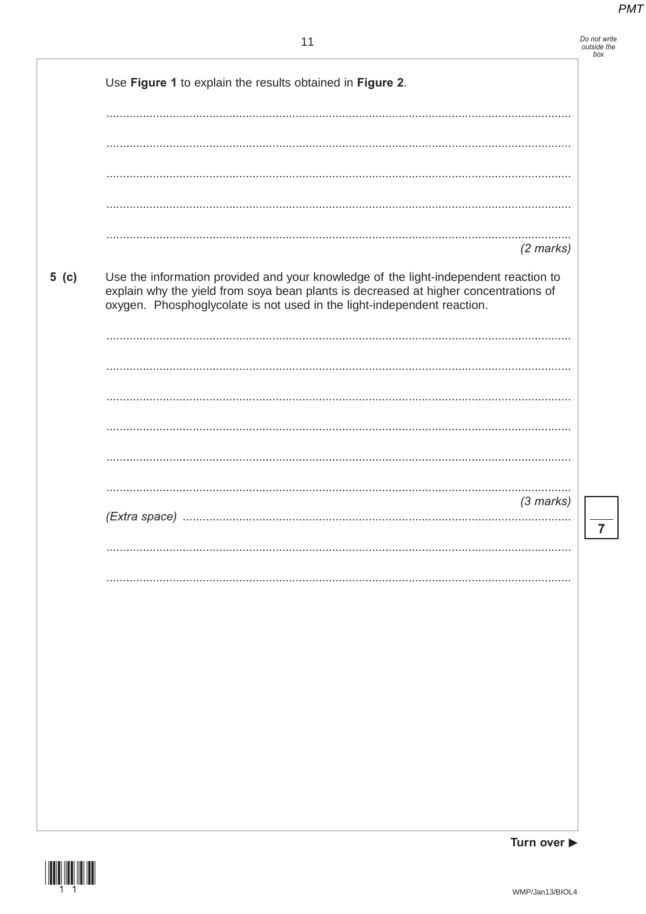| Do not write |  |
|--------------|--|
| outside the  |  |
| box          |  |

|       | Use Figure 1 to explain the results obtained in Figure 2.                                                                                                                                                                                               |
|-------|---------------------------------------------------------------------------------------------------------------------------------------------------------------------------------------------------------------------------------------------------------|
|       |                                                                                                                                                                                                                                                         |
|       |                                                                                                                                                                                                                                                         |
|       |                                                                                                                                                                                                                                                         |
|       |                                                                                                                                                                                                                                                         |
|       |                                                                                                                                                                                                                                                         |
|       | $(2 \text{ marks})$                                                                                                                                                                                                                                     |
| 5( c) | Use the information provided and your knowledge of the light-independent reaction to<br>explain why the yield from soya bean plants is decreased at higher concentrations of<br>oxygen. Phosphoglycolate is not used in the light-independent reaction. |
|       |                                                                                                                                                                                                                                                         |
|       |                                                                                                                                                                                                                                                         |
|       |                                                                                                                                                                                                                                                         |
|       |                                                                                                                                                                                                                                                         |
|       |                                                                                                                                                                                                                                                         |
|       |                                                                                                                                                                                                                                                         |
|       | $(3$ marks)                                                                                                                                                                                                                                             |
|       |                                                                                                                                                                                                                                                         |
|       |                                                                                                                                                                                                                                                         |
|       |                                                                                                                                                                                                                                                         |
|       |                                                                                                                                                                                                                                                         |
|       |                                                                                                                                                                                                                                                         |
|       |                                                                                                                                                                                                                                                         |
|       |                                                                                                                                                                                                                                                         |
|       |                                                                                                                                                                                                                                                         |
|       |                                                                                                                                                                                                                                                         |
|       |                                                                                                                                                                                                                                                         |

 $\overline{7}$ 

Turn over ▶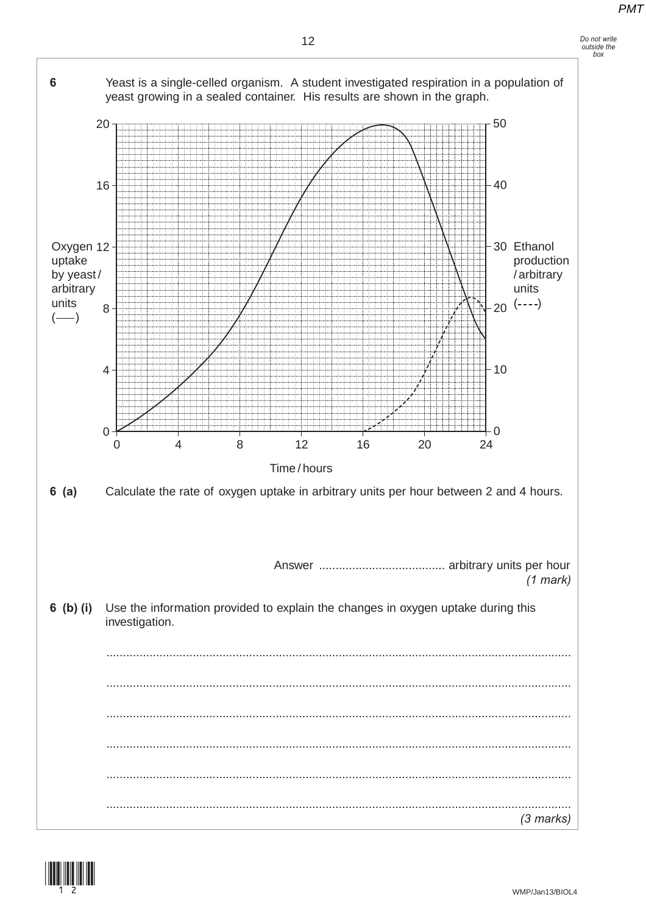



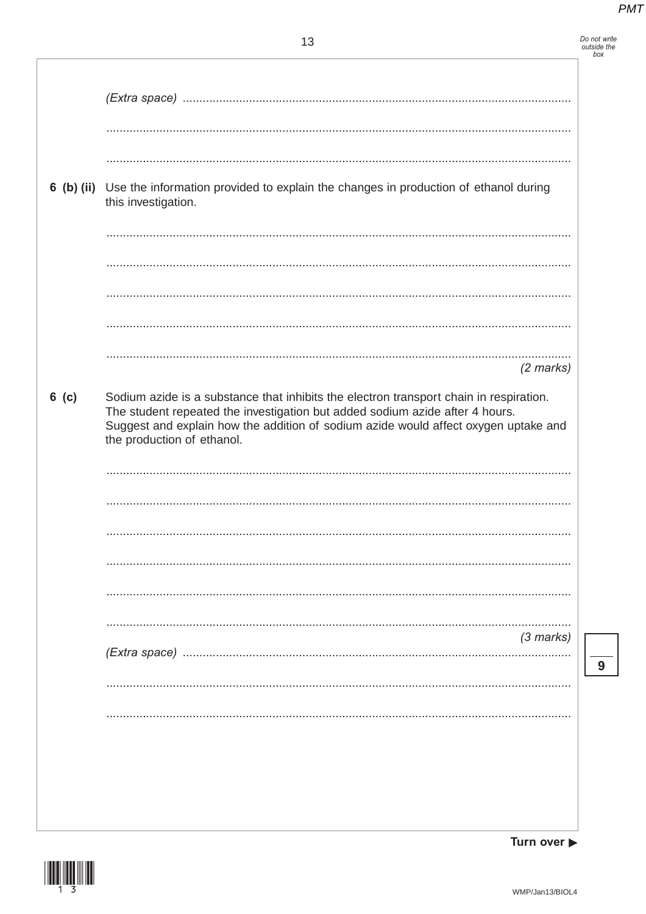Do not write<br>outside the<br>box

|         | 6 (b) (ii) Use the information provided to explain the changes in production of ethanol during<br>this investigation.                                                                                                                                                                       |
|---------|---------------------------------------------------------------------------------------------------------------------------------------------------------------------------------------------------------------------------------------------------------------------------------------------|
|         |                                                                                                                                                                                                                                                                                             |
|         | $(2$ marks)                                                                                                                                                                                                                                                                                 |
| $6$ (c) | Sodium azide is a substance that inhibits the electron transport chain in respiration.<br>The student repeated the investigation but added sodium azide after 4 hours.<br>Suggest and explain how the addition of sodium azide would affect oxygen uptake and<br>the production of ethanol. |
|         |                                                                                                                                                                                                                                                                                             |
|         |                                                                                                                                                                                                                                                                                             |
|         | $(3$ marks)                                                                                                                                                                                                                                                                                 |
|         |                                                                                                                                                                                                                                                                                             |
|         |                                                                                                                                                                                                                                                                                             |
|         |                                                                                                                                                                                                                                                                                             |

 $\overline{9}$ 

Turn over  $\blacktriangleright$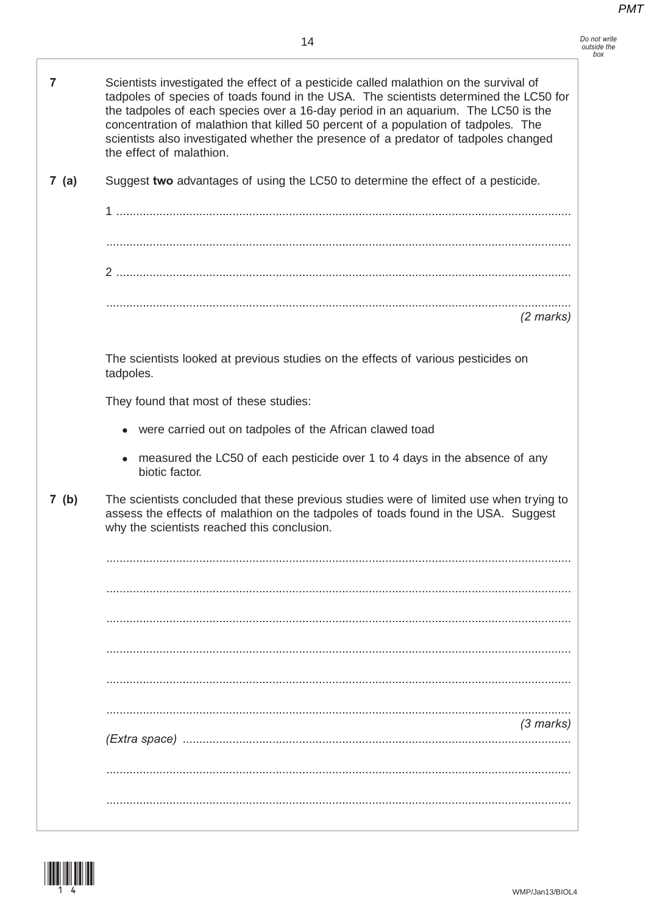| Do not write |  |
|--------------|--|
| outside the  |  |
| box          |  |

| 7    | Scientists investigated the effect of a pesticide called malathion on the survival of<br>tadpoles of species of toads found in the USA. The scientists determined the LC50 for<br>the tadpoles of each species over a 16-day period in an aquarium. The LC50 is the<br>concentration of malathion that killed 50 percent of a population of tadpoles. The<br>scientists also investigated whether the presence of a predator of tadpoles changed<br>the effect of malathion. |
|------|------------------------------------------------------------------------------------------------------------------------------------------------------------------------------------------------------------------------------------------------------------------------------------------------------------------------------------------------------------------------------------------------------------------------------------------------------------------------------|
| 7(a) | Suggest two advantages of using the LC50 to determine the effect of a pesticide.                                                                                                                                                                                                                                                                                                                                                                                             |
|      |                                                                                                                                                                                                                                                                                                                                                                                                                                                                              |
|      |                                                                                                                                                                                                                                                                                                                                                                                                                                                                              |
|      |                                                                                                                                                                                                                                                                                                                                                                                                                                                                              |
|      | $(2$ marks)                                                                                                                                                                                                                                                                                                                                                                                                                                                                  |
|      |                                                                                                                                                                                                                                                                                                                                                                                                                                                                              |
|      | The scientists looked at previous studies on the effects of various pesticides on<br>tadpoles.                                                                                                                                                                                                                                                                                                                                                                               |
|      | They found that most of these studies:                                                                                                                                                                                                                                                                                                                                                                                                                                       |
|      | • were carried out on tadpoles of the African clawed toad                                                                                                                                                                                                                                                                                                                                                                                                                    |
|      | measured the LC50 of each pesticide over 1 to 4 days in the absence of any<br>$\bullet$<br>biotic factor.                                                                                                                                                                                                                                                                                                                                                                    |
| 7(b) | The scientists concluded that these previous studies were of limited use when trying to<br>assess the effects of malathion on the tadpoles of toads found in the USA. Suggest<br>why the scientists reached this conclusion.                                                                                                                                                                                                                                                 |
|      |                                                                                                                                                                                                                                                                                                                                                                                                                                                                              |
|      |                                                                                                                                                                                                                                                                                                                                                                                                                                                                              |
|      |                                                                                                                                                                                                                                                                                                                                                                                                                                                                              |
|      |                                                                                                                                                                                                                                                                                                                                                                                                                                                                              |
|      |                                                                                                                                                                                                                                                                                                                                                                                                                                                                              |
|      | $(3$ marks)                                                                                                                                                                                                                                                                                                                                                                                                                                                                  |
|      | $(Extra space)$                                                                                                                                                                                                                                                                                                                                                                                                                                                              |
|      |                                                                                                                                                                                                                                                                                                                                                                                                                                                                              |
|      |                                                                                                                                                                                                                                                                                                                                                                                                                                                                              |

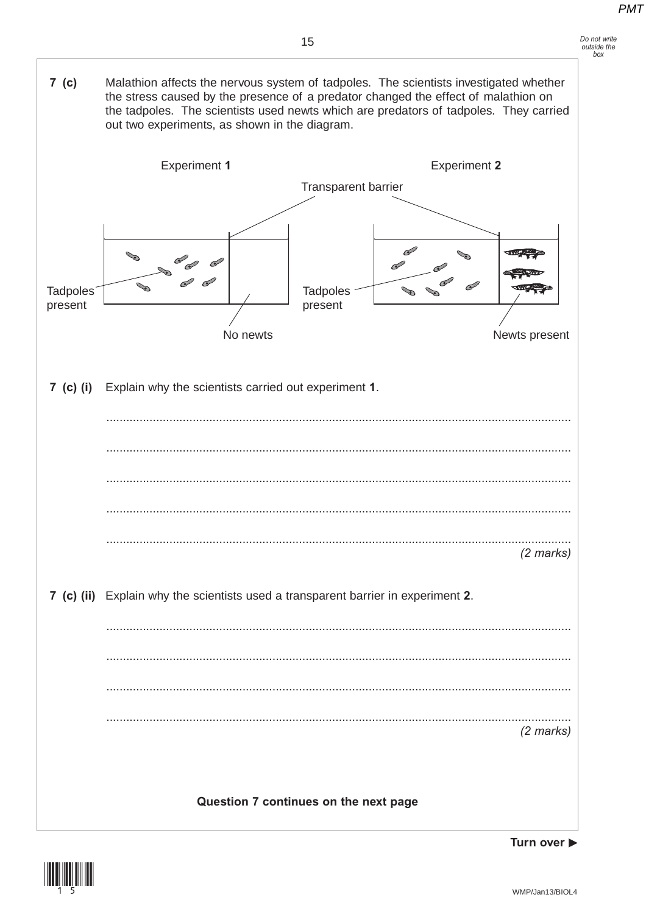$7 (c)$ Malathion affects the nervous system of tadpoles. The scientists investigated whether the stress caused by the presence of a predator changed the effect of malathion on the tadpoles. The scientists used newts which are predators of tadpoles. They carried out two experiments, as shown in the diagram.



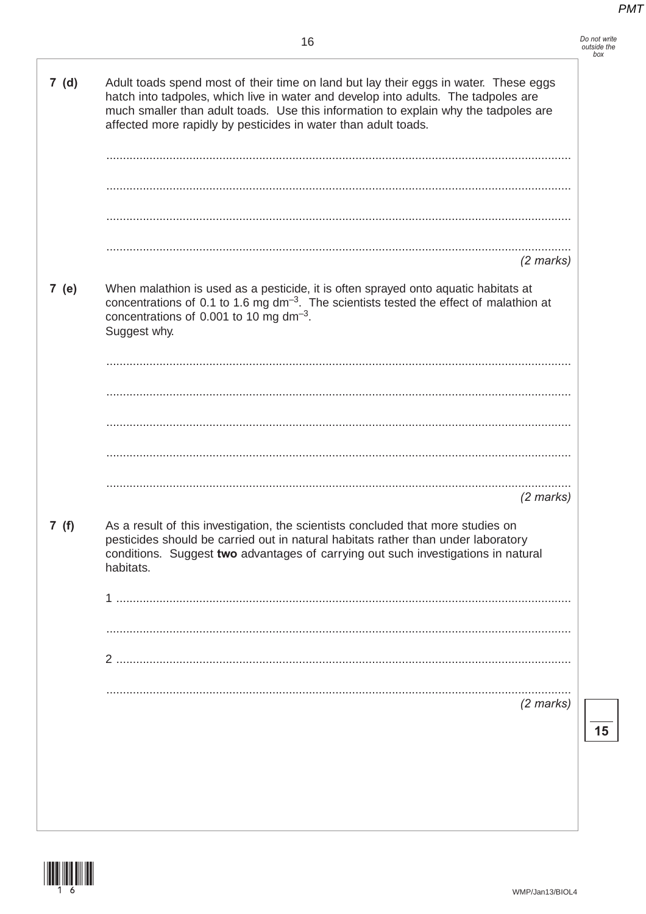Do not write<br>outside the<br>box

| 7(d)  | Adult toads spend most of their time on land but lay their eggs in water. These eggs<br>hatch into tadpoles, which live in water and develop into adults. The tadpoles are<br>much smaller than adult toads. Use this information to explain why the tadpoles are<br>affected more rapidly by pesticides in water than adult toads. |
|-------|-------------------------------------------------------------------------------------------------------------------------------------------------------------------------------------------------------------------------------------------------------------------------------------------------------------------------------------|
|       |                                                                                                                                                                                                                                                                                                                                     |
|       | $(2$ marks)                                                                                                                                                                                                                                                                                                                         |
| 7 (e) | When malathion is used as a pesticide, it is often sprayed onto aquatic habitats at<br>concentrations of 0.1 to 1.6 mg $dm^{-3}$ . The scientists tested the effect of malathion at<br>concentrations of 0.001 to 10 mg dm <sup>-3</sup> .<br>Suggest why.                                                                          |
|       |                                                                                                                                                                                                                                                                                                                                     |
|       |                                                                                                                                                                                                                                                                                                                                     |
|       |                                                                                                                                                                                                                                                                                                                                     |
|       |                                                                                                                                                                                                                                                                                                                                     |
|       | $(2$ marks)                                                                                                                                                                                                                                                                                                                         |
| 7(f)  | As a result of this investigation, the scientists concluded that more studies on<br>pesticides should be carried out in natural habitats rather than under laboratory<br>conditions. Suggest two advantages of carrying out such investigations in natural<br>habitats.                                                             |
|       |                                                                                                                                                                                                                                                                                                                                     |
|       |                                                                                                                                                                                                                                                                                                                                     |
|       |                                                                                                                                                                                                                                                                                                                                     |
|       |                                                                                                                                                                                                                                                                                                                                     |
|       | $(2 \text{ marks})$                                                                                                                                                                                                                                                                                                                 |
|       |                                                                                                                                                                                                                                                                                                                                     |
|       |                                                                                                                                                                                                                                                                                                                                     |
|       |                                                                                                                                                                                                                                                                                                                                     |
|       |                                                                                                                                                                                                                                                                                                                                     |



 $\overline{15}$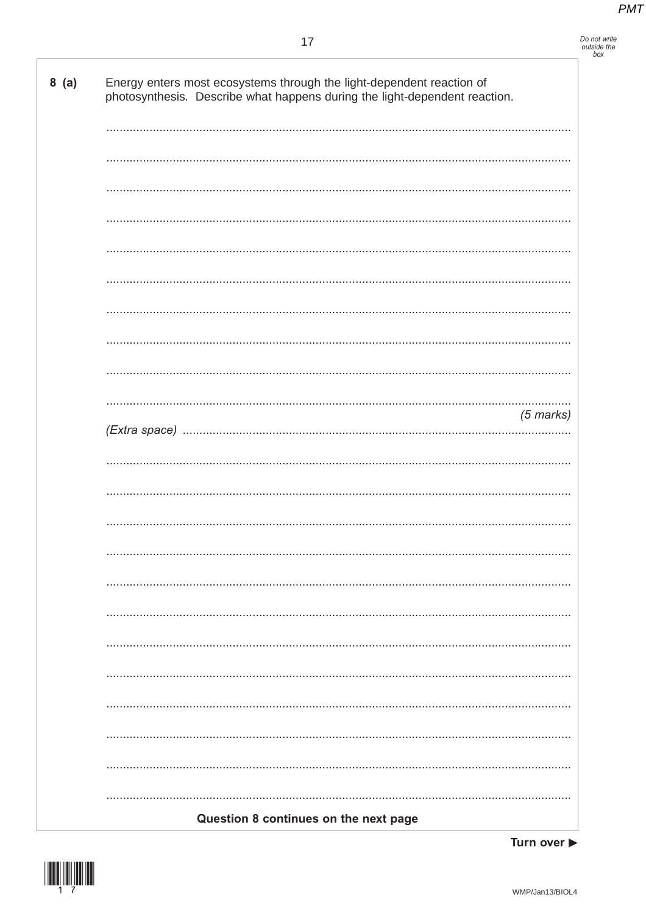Do not write<br>outside the<br>box

| photosynthesis. Describe what happens during the light-dependent reaction. |
|----------------------------------------------------------------------------|
|                                                                            |
|                                                                            |
|                                                                            |
|                                                                            |
|                                                                            |
|                                                                            |
|                                                                            |
|                                                                            |
| $(5$ marks)                                                                |
|                                                                            |
|                                                                            |
|                                                                            |
|                                                                            |
|                                                                            |
|                                                                            |
|                                                                            |
|                                                                            |
|                                                                            |
|                                                                            |
|                                                                            |
| Question 8 continues on the next page                                      |



Turn over  $\blacktriangleright$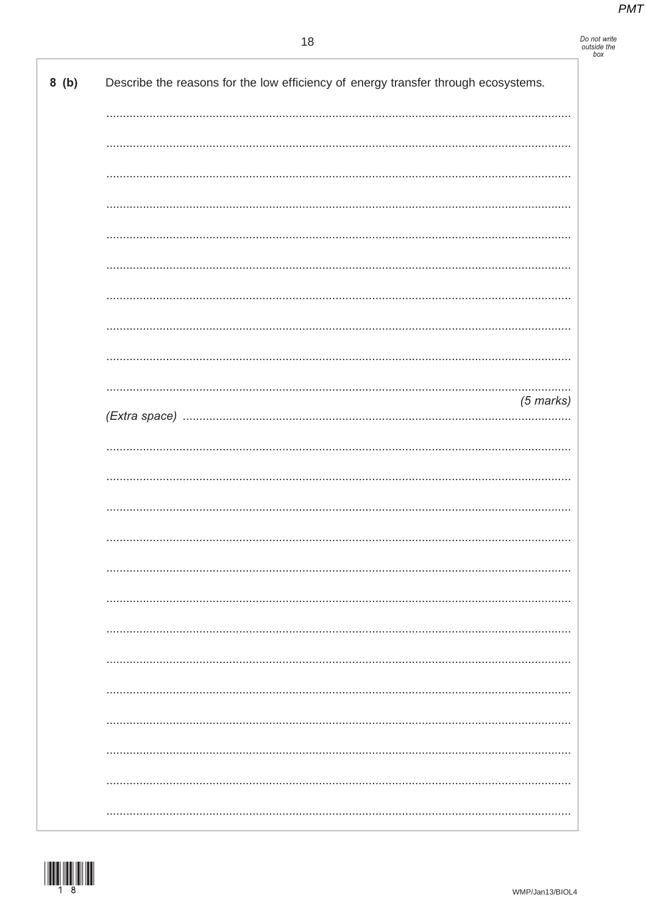# Do not write<br>outside the<br>box

| 8(b) | Describe the reasons for the low efficiency of energy transfer through ecosystems. |
|------|------------------------------------------------------------------------------------|
|      |                                                                                    |
|      |                                                                                    |
|      |                                                                                    |
|      |                                                                                    |
|      |                                                                                    |
|      |                                                                                    |
|      |                                                                                    |
|      |                                                                                    |
|      |                                                                                    |
|      | $(5$ marks)                                                                        |
|      |                                                                                    |
|      |                                                                                    |
|      |                                                                                    |
|      |                                                                                    |
|      |                                                                                    |
|      |                                                                                    |
|      |                                                                                    |
|      |                                                                                    |
|      |                                                                                    |
|      |                                                                                    |
|      |                                                                                    |
|      |                                                                                    |
|      |                                                                                    |
|      |                                                                                    |

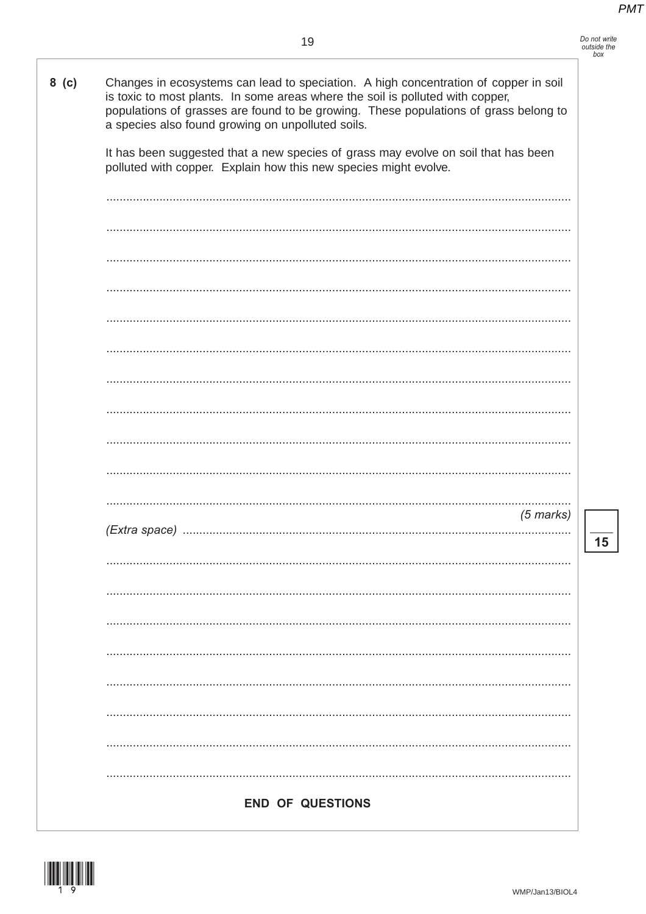| Do not write |
|--------------|
| outside the  |
| hox          |

 $\overline{\mathbf{15}}$ 

| $8$ (c) | Changes in ecosystems can lead to speciation. A high concentration of copper in soil<br>is toxic to most plants. In some areas where the soil is polluted with copper,<br>populations of grasses are found to be growing. These populations of grass belong to<br>a species also found growing on unpolluted soils. |
|---------|---------------------------------------------------------------------------------------------------------------------------------------------------------------------------------------------------------------------------------------------------------------------------------------------------------------------|
|         | It has been suggested that a new species of grass may evolve on soil that has been<br>polluted with copper. Explain how this new species might evolve.                                                                                                                                                              |
|         |                                                                                                                                                                                                                                                                                                                     |
|         |                                                                                                                                                                                                                                                                                                                     |
|         |                                                                                                                                                                                                                                                                                                                     |
|         |                                                                                                                                                                                                                                                                                                                     |
|         |                                                                                                                                                                                                                                                                                                                     |
|         |                                                                                                                                                                                                                                                                                                                     |
|         |                                                                                                                                                                                                                                                                                                                     |
|         |                                                                                                                                                                                                                                                                                                                     |
|         | $(5$ marks)                                                                                                                                                                                                                                                                                                         |
|         |                                                                                                                                                                                                                                                                                                                     |
|         |                                                                                                                                                                                                                                                                                                                     |
|         |                                                                                                                                                                                                                                                                                                                     |
|         |                                                                                                                                                                                                                                                                                                                     |
|         |                                                                                                                                                                                                                                                                                                                     |
|         |                                                                                                                                                                                                                                                                                                                     |
|         |                                                                                                                                                                                                                                                                                                                     |
|         | <b>END OF QUESTIONS</b>                                                                                                                                                                                                                                                                                             |

WMP/Jan13/BIOL4